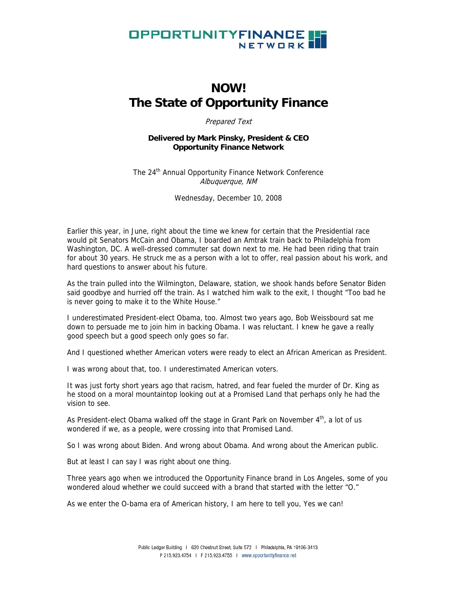

# **NOW! The State of Opportunity Finance**

Prepared Text

## **Delivered by Mark Pinsky, President & CEO Opportunity Finance Network**

The 24<sup>th</sup> Annual Opportunity Finance Network Conference Albuquerque, NM

Wednesday, December 10, 2008

Earlier this year, in June, right about the time we knew for certain that the Presidential race would pit Senators McCain and Obama, I boarded an Amtrak train back to Philadelphia from Washington, DC. A well-dressed commuter sat down next to me. He had been riding that train for about 30 years. He struck me as a person with a lot to offer, real passion about his work, and hard questions to answer about his future.

As the train pulled into the Wilmington, Delaware, station, we shook hands before Senator Biden said goodbye and hurried off the train. As I watched him walk to the exit, I thought "Too bad he is never going to make it to the White House."

I underestimated President-elect Obama, too. Almost two years ago, Bob Weissbourd sat me down to persuade me to join him in backing Obama. I was reluctant. I knew he gave a really good speech but a good speech only goes so far.

And I questioned whether American voters were ready to elect an African American as President.

I was wrong about that, too. I underestimated American voters.

It was just forty short years ago that racism, hatred, and fear fueled the murder of Dr. King as he stood on a moral mountaintop looking out at a Promised Land that perhaps only he had the vision to see.

As President-elect Obama walked off the stage in Grant Park on November  $4<sup>th</sup>$ , a lot of us wondered if we, as a people, were crossing into that Promised Land.

So I was wrong about Biden. And wrong about Obama. And wrong about the American public.

But at least I can say I was right about one thing.

Three years ago when we introduced the Opportunity Finance brand in Los Angeles, some of you wondered aloud whether we could succeed with a brand that started with the letter "O."

As we enter the O-bama era of American history, I am here to tell you, Yes we can!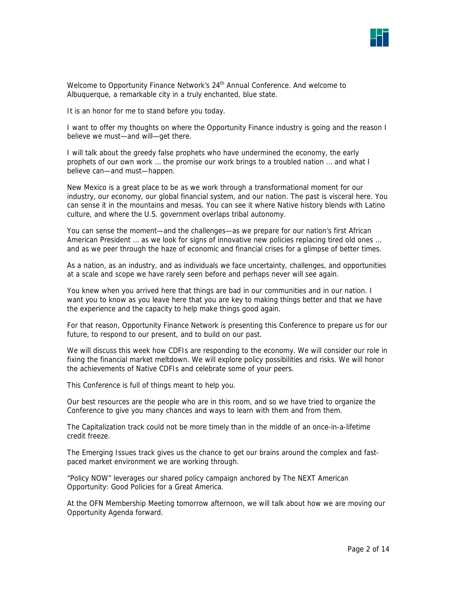

Welcome to Opportunity Finance Network's  $24<sup>th</sup>$  Annual Conference. And welcome to Albuquerque, a remarkable city in a truly enchanted, blue state.

It is an honor for me to stand before you today.

I want to offer my thoughts on where the Opportunity Finance industry is going and the reason I believe we must—and will—get there.

I will talk about the greedy false prophets who have undermined the economy, the early prophets of our own work … the promise our work brings to a troubled nation … and what I believe can—and must—happen.

New Mexico is a great place to be as we work through a transformational moment for our industry, our economy, our global financial system, and our nation. The past is visceral here. You can sense it in the mountains and mesas. You can see it where Native history blends with Latino culture, and where the U.S. government overlaps tribal autonomy.

You can sense the moment—and the challenges—as we prepare for our nation's first African American President … as we look for signs of innovative new policies replacing tired old ones … and as we peer through the haze of economic and financial crises for a glimpse of better times.

As a nation, as an industry, and as individuals we face uncertainty, challenges, and opportunities at a scale and scope we have rarely seen before and perhaps never will see again.

You knew when you arrived here that things are bad in our communities and in our nation. I want you to know as you leave here that you are key to making things better and that we have the experience and the capacity to help make things good again.

For that reason, Opportunity Finance Network is presenting this Conference to prepare us for our future, to respond to our present, and to build on our past.

We will discuss this week how CDFIs are responding to the economy. We will consider our role in fixing the financial market meltdown. We will explore policy possibilities and risks. We will honor the achievements of Native CDFIs and celebrate some of your peers.

This Conference is full of things meant to help you.

Our best resources are the people who are in this room, and so we have tried to organize the Conference to give you many chances and ways to learn with them and from them.

The Capitalization track could not be more timely than in the middle of an once-in-a-lifetime credit freeze.

The Emerging Issues track gives us the chance to get our brains around the complex and fastpaced market environment we are working through.

"Policy NOW" leverages our shared policy campaign anchored by The NEXT American Opportunity: Good Policies for a Great America.

At the OFN Membership Meeting tomorrow afternoon, we will talk about how we are moving our Opportunity Agenda forward.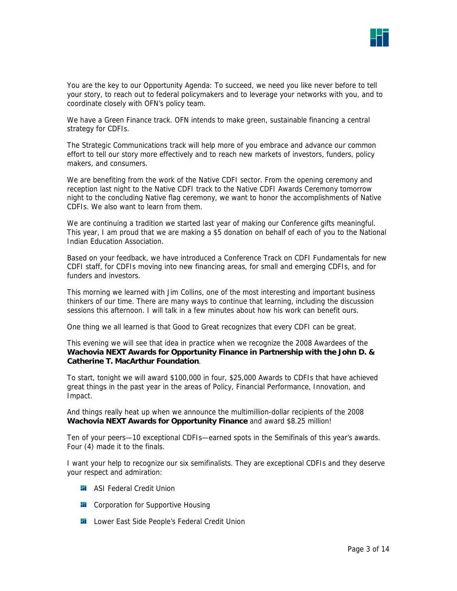

You are the key to our Opportunity Agenda: To succeed, we need you like never before to tell your story, to reach out to federal policymakers and to leverage your networks with you, and to coordinate closely with OFN's policy team.

We have a Green Finance track. OFN intends to make green, sustainable financing a central strategy for CDFIs.

The Strategic Communications track will help more of you embrace and advance our common effort to tell our story more effectively and to reach new markets of investors, funders, policy makers, and consumers.

We are benefiting from the work of the Native CDFI sector. From the opening ceremony and reception last night to the Native CDFI track to the Native CDFI Awards Ceremony tomorrow night to the concluding Native flag ceremony, we want to honor the accomplishments of Native CDFIs. We also want to learn from them.

We are continuing a tradition we started last year of making our Conference gifts meaningful. This year, I am proud that we are making a \$5 donation on behalf of each of you to the National Indian Education Association.

Based on your feedback, we have introduced a Conference Track on CDFI Fundamentals for new CDFI staff, for CDFIs moving into new financing areas, for small and emerging CDFIs, and for funders and investors.

This morning we learned with Jim Collins, one of the most interesting and important business thinkers of our time. There are many ways to continue that learning, including the discussion sessions this afternoon. I will talk in a few minutes about how his work can benefit ours.

One thing we all learned is that Good to Great recognizes that every CDFI can be great.

This evening we will see that idea in practice when we recognize the 2008 Awardees of the **Wachovia NEXT Awards for Opportunity Finance in Partnership with the John D. & Catherine T. MacArthur Foundation**.

To start, tonight we will award \$100,000 in four, \$25,000 Awards to CDFIs that have achieved great things in the past year in the areas of Policy, Financial Performance, Innovation, and Impact.

And things really heat up when we announce the multimillion-dollar recipients of the 2008 **Wachovia NEXT Awards for Opportunity Finance** and award \$8.25 million!

Ten of your peers—10 exceptional CDFIs—earned spots in the Semifinals of this year's awards. Four (4) made it to the finals.

I want your help to recognize our six semifinalists. They are exceptional CDFIs and they deserve your respect and admiration:

- **Hi** ASI Federal Credit Union
- **Hi** Corporation for Supportive Housing
- **Li** Lower East Side People's Federal Credit Union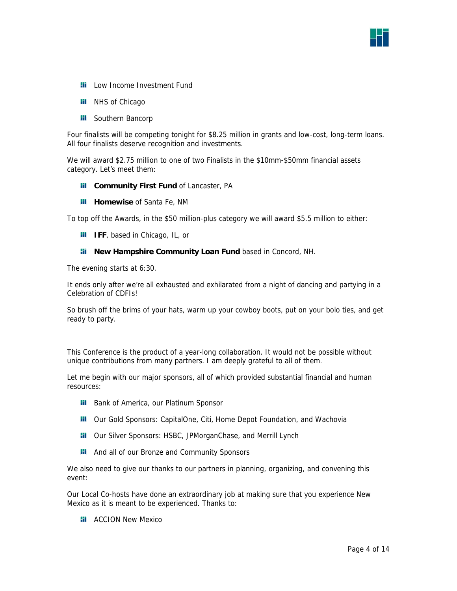

- **Li** Low Income Investment Fund
- **Hi** NHS of Chicago
- **H** Southern Bancorp

Four finalists will be competing tonight for \$8.25 million in grants and low-cost, long-term loans. All four finalists deserve recognition and investments.

We will award \$2.75 million to one of two Finalists in the \$10mm-\$50mm financial assets category. Let's meet them:

- **Fi** Community First Fund of Lancaster, PA
- **Homewise** of Santa Fe, NM

To top off the Awards, in the \$50 million-plus category we will award \$5.5 million to either:

- **II** IFF, based in Chicago, IL, or
- **Hi** New Hampshire Community Loan Fund based in Concord, NH.

The evening starts at 6:30.

It ends only after we're all exhausted and exhilarated from a night of dancing and partying in a Celebration of CDFIs!

So brush off the brims of your hats, warm up your cowboy boots, put on your bolo ties, and get ready to party.

This Conference is the product of a year-long collaboration. It would not be possible without unique contributions from many partners. I am deeply grateful to all of them.

Let me begin with our major sponsors, all of which provided substantial financial and human resources:

- **Bank of America, our Platinum Sponsor**
- **H** Our Gold Sponsors: CapitalOne, Citi, Home Depot Foundation, and Wachovia
- **II** Our Silver Sponsors: HSBC, JPMorganChase, and Merrill Lynch
- **Hi** And all of our Bronze and Community Sponsors

We also need to give our thanks to our partners in planning, organizing, and convening this event:

Our Local Co-hosts have done an extraordinary job at making sure that you experience New Mexico as it is meant to be experienced. Thanks to:

**H** ACCION New Mexico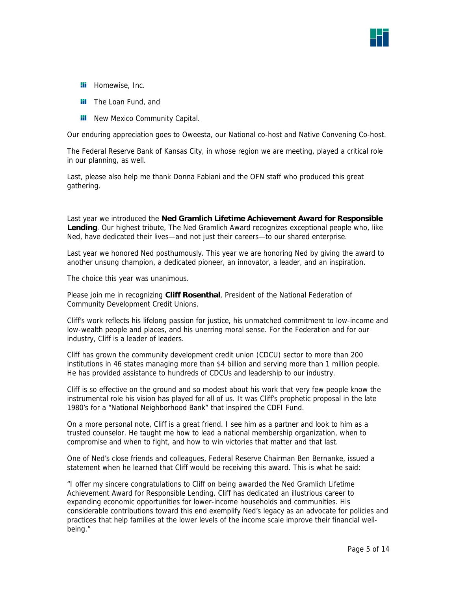

- **Hi** Homewise, Inc.
- **The Loan Fund, and**
- **Hi** New Mexico Community Capital.

Our enduring appreciation goes to Oweesta, our National co-host and Native Convening Co-host.

The Federal Reserve Bank of Kansas City, in whose region we are meeting, played a critical role in our planning, as well.

Last, please also help me thank Donna Fabiani and the OFN staff who produced this great gathering.

Last year we introduced the **Ned Gramlich Lifetime Achievement Award for Responsible Lending**. Our highest tribute, The Ned Gramlich Award recognizes exceptional people who, like Ned, have dedicated their lives—and not just their careers—to our shared enterprise.

Last year we honored Ned posthumously. This year we are honoring Ned by giving the award to another unsung champion, a dedicated pioneer, an innovator, a leader, and an inspiration.

The choice this year was unanimous.

Please join me in recognizing **Cliff Rosenthal**, President of the National Federation of Community Development Credit Unions.

Cliff's work reflects his lifelong passion for justice, his unmatched commitment to low-income and low-wealth people and places, and his unerring moral sense. For the Federation and for our industry, Cliff is a leader of leaders.

Cliff has grown the community development credit union (CDCU) sector to more than 200 institutions in 46 states managing more than \$4 billion and serving more than 1 million people. He has provided assistance to hundreds of CDCUs and leadership to our industry.

Cliff is so effective on the ground and so modest about his work that very few people know the instrumental role his vision has played for all of us. It was Cliff's prophetic proposal in the late 1980's for a "National Neighborhood Bank" that inspired the CDFI Fund.

On a more personal note, Cliff is a great friend. I see him as a partner and look to him as a trusted counselor. He taught me how to lead a national membership organization, when to compromise and when to fight, and how to win victories that matter and that last.

One of Ned's close friends and colleagues, Federal Reserve Chairman Ben Bernanke, issued a statement when he learned that Cliff would be receiving this award. This is what he said:

"I offer my sincere congratulations to Cliff on being awarded the Ned Gramlich Lifetime Achievement Award for Responsible Lending. Cliff has dedicated an illustrious career to expanding economic opportunities for lower-income households and communities. His considerable contributions toward this end exemplify Ned's legacy as an advocate for policies and practices that help families at the lower levels of the income scale improve their financial wellbeing."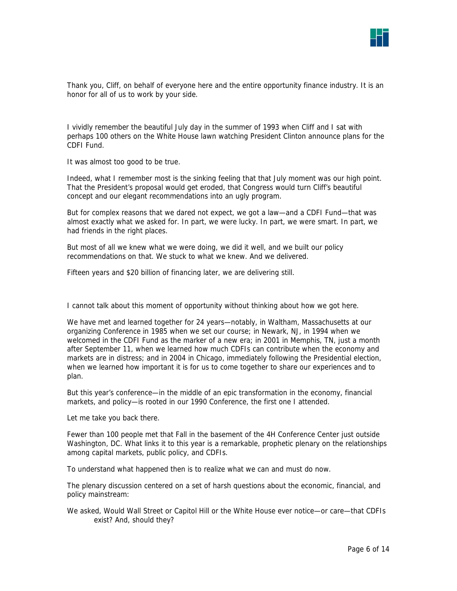

Thank you, Cliff, on behalf of everyone here and the entire opportunity finance industry. It is an honor for all of us to work by your side.

I vividly remember the beautiful July day in the summer of 1993 when Cliff and I sat with perhaps 100 others on the White House lawn watching President Clinton announce plans for the CDFI Fund.

It was almost too good to be true.

Indeed, what I remember most is the sinking feeling that that July moment was our high point. That the President's proposal would get eroded, that Congress would turn Cliff's beautiful concept and our elegant recommendations into an ugly program.

But for complex reasons that we dared not expect, we got a law—and a CDFI Fund—that was almost exactly what we asked for. In part, we were lucky. In part, we were smart. In part, we had friends in the right places.

But most of all we knew what we were doing, we did it well, and we built our policy recommendations on that. We stuck to what we knew. And we delivered.

Fifteen years and \$20 billion of financing later, we are delivering still.

I cannot talk about this moment of opportunity without thinking about how we got here.

We have met and learned together for 24 years—notably, in Waltham, Massachusetts at our organizing Conference in 1985 when we set our course; in Newark, NJ, in 1994 when we welcomed in the CDFI Fund as the marker of a new era; in 2001 in Memphis, TN, just a month after September 11, when we learned how much CDFIs can contribute when the economy and markets are in distress; and in 2004 in Chicago, immediately following the Presidential election, when we learned how important it is for us to come together to share our experiences and to plan.

But this year's conference—in the middle of an epic transformation in the economy, financial markets, and policy—is rooted in our 1990 Conference, the first one I attended.

Let me take you back there.

Fewer than 100 people met that Fall in the basement of the 4H Conference Center just outside Washington, DC. What links it to this year is a remarkable, prophetic plenary on the relationships among capital markets, public policy, and CDFIs.

To understand what happened then is to realize what we can and must do now.

The plenary discussion centered on a set of harsh questions about the economic, financial, and policy mainstream:

We asked, Would Wall Street or Capitol Hill or the White House ever notice—or care—that CDFIs exist? And, should they?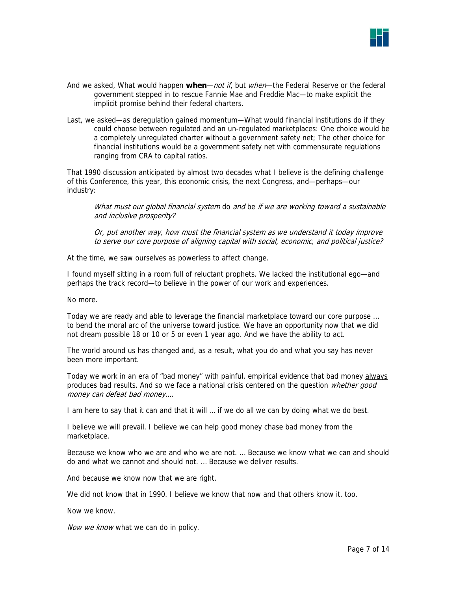

- And we asked, What would happen **when**—not if, but when—the Federal Reserve or the federal government stepped in to rescue Fannie Mae and Freddie Mac—to make explicit the implicit promise behind their federal charters.
- Last, we asked—as deregulation gained momentum—What would financial institutions do if they could choose between regulated and an un-regulated marketplaces: One choice would be a completely unregulated charter without a government safety net; The other choice for financial institutions would be a government safety net with commensurate regulations ranging from CRA to capital ratios.

That 1990 discussion anticipated by almost two decades what I believe is the defining challenge of this Conference, this year, this economic crisis, the next Congress, and—perhaps—our industry:

What must our global financial system do and be if we are working toward a sustainable and inclusive prosperity?

Or, put another way, how must the financial system as we understand it today improve to serve our core purpose of aligning capital with social, economic, and political justice?

At the time, we saw ourselves as powerless to affect change.

I found myself sitting in a room full of reluctant prophets. We lacked the institutional ego—and perhaps the track record—to believe in the power of our work and experiences.

No more.

Today we are ready and able to leverage the financial marketplace toward our core purpose … to bend the moral arc of the universe toward justice. We have an opportunity now that we did not dream possible 18 or 10 or 5 or even 1 year ago. And we have the ability to act.

The world around us has changed and, as a result, what you do and what you say has never been more important.

Today we work in an era of "bad money" with painful, empirical evidence that bad money always produces bad results. And so we face a national crisis centered on the question whether good money can defeat bad money….

I am here to say that it can and that it will … if we do all we can by doing what we do best.

I believe we will prevail. I believe we can help good money chase bad money from the marketplace.

Because we know who we are and who we are not. … Because we know what we can and should do and what we cannot and should not. … Because we deliver results.

And because we know now that we are right.

We did not know that in 1990. I believe we know that now and that others know it, too.

Now we know.

Now we know what we can do in policy.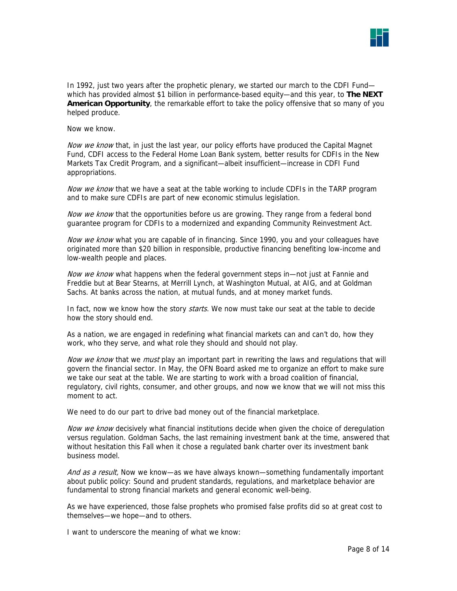

In 1992, just two years after the prophetic plenary, we started our march to the CDFI Fund which has provided almost \$1 billion in performance-based equity—and this year, to **The NEXT American Opportunity**, the remarkable effort to take the policy offensive that so many of you helped produce.

Now we know.

Now we know that, in just the last year, our policy efforts have produced the Capital Magnet Fund, CDFI access to the Federal Home Loan Bank system, better results for CDFIs in the New Markets Tax Credit Program, and a significant—albeit insufficient—increase in CDFI Fund appropriations.

Now we know that we have a seat at the table working to include CDFIs in the TARP program and to make sure CDFIs are part of new economic stimulus legislation.

Now we know that the opportunities before us are growing. They range from a federal bond guarantee program for CDFIs to a modernized and expanding Community Reinvestment Act.

Now we know what you are capable of in financing. Since 1990, you and your colleagues have originated more than \$20 billion in responsible, productive financing benefiting low-income and low-wealth people and places.

Now we know what happens when the federal government steps in—not just at Fannie and Freddie but at Bear Stearns, at Merrill Lynch, at Washington Mutual, at AIG, and at Goldman Sachs. At banks across the nation, at mutual funds, and at money market funds.

In fact, now we know how the story *starts*. We now must take our seat at the table to decide how the story should end.

As a nation, we are engaged in redefining what financial markets can and can't do, how they work, who they serve, and what role they should and should not play.

Now we know that we must play an important part in rewriting the laws and regulations that will govern the financial sector. In May, the OFN Board asked me to organize an effort to make sure we take our seat at the table. We are starting to work with a broad coalition of financial, regulatory, civil rights, consumer, and other groups, and now we know that we will not miss this moment to act.

We need to do our part to drive bad money out of the financial marketplace.

Now we know decisively what financial institutions decide when given the choice of deregulation versus regulation. Goldman Sachs, the last remaining investment bank at the time, answered that without hesitation this Fall when it chose a regulated bank charter over its investment bank business model.

And as a result, Now we know—as we have always known—something fundamentally important about public policy: Sound and prudent standards, regulations, and marketplace behavior are fundamental to strong financial markets and general economic well-being.

As we have experienced, those false prophets who promised false profits did so at great cost to themselves—we hope—and to others.

I want to underscore the meaning of what we know: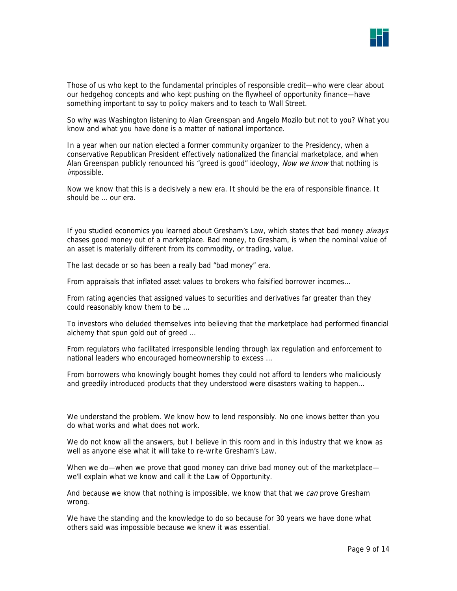

Those of us who kept to the fundamental principles of responsible credit—who were clear about our hedgehog concepts and who kept pushing on the flywheel of opportunity finance—have something important to say to policy makers and to teach to Wall Street.

So why was Washington listening to Alan Greenspan and Angelo Mozilo but not to you? What you know and what you have done is a matter of national importance.

In a year when our nation elected a former community organizer to the Presidency, when a conservative Republican President effectively nationalized the financial marketplace, and when Alan Greenspan publicly renounced his "greed is good" ideology, Now we know that nothing is impossible.

Now we know that this is a decisively a new era. It should be the era of responsible finance. It should be … our era.

If you studied economics you learned about Gresham's Law, which states that bad money always chases good money out of a marketplace. Bad money, to Gresham, is when the nominal value of an asset is materially different from its commodity, or trading, value.

The last decade or so has been a really bad "bad money" era.

From appraisals that inflated asset values to brokers who falsified borrower incomes…

From rating agencies that assigned values to securities and derivatives far greater than they could reasonably know them to be …

To investors who deluded themselves into believing that the marketplace had performed financial alchemy that spun gold out of greed …

From regulators who facilitated irresponsible lending through lax regulation and enforcement to national leaders who encouraged homeownership to excess …

From borrowers who knowingly bought homes they could not afford to lenders who maliciously and greedily introduced products that they understood were disasters waiting to happen…

We understand the problem. We know how to lend responsibly. No one knows better than you do what works and what does not work.

We do not know all the answers, but I believe in this room and in this industry that we know as well as anyone else what it will take to re-write Gresham's Law.

When we do—when we prove that good money can drive bad money out of the marketplace we'll explain what we know and call it the Law of Opportunity.

And because we know that nothing is impossible, we know that that we *can* prove Gresham wrong.

We have the standing and the knowledge to do so because for 30 years we have done what others said was impossible because we knew it was essential.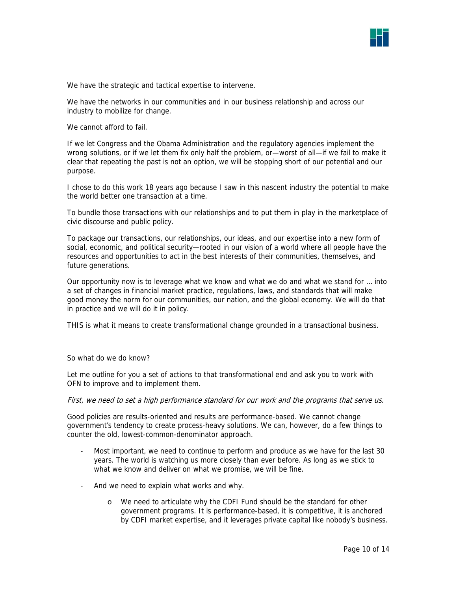

We have the strategic and tactical expertise to intervene.

We have the networks in our communities and in our business relationship and across our industry to mobilize for change.

We cannot afford to fail.

If we let Congress and the Obama Administration and the regulatory agencies implement the wrong solutions, or if we let them fix only half the problem, or—worst of all—if we fail to make it clear that repeating the past is not an option, we will be stopping short of our potential and our purpose.

I chose to do this work 18 years ago because I saw in this nascent industry the potential to make the world better one transaction at a time.

To bundle those transactions with our relationships and to put them in play in the marketplace of civic discourse and public policy.

To package our transactions, our relationships, our ideas, and our expertise into a new form of social, economic, and political security—rooted in our vision of a world where all people have the resources and opportunities to act in the best interests of their communities, themselves, and future generations.

Our opportunity now is to leverage what we know and what we do and what we stand for … into a set of changes in financial market practice, regulations, laws, and standards that will make good money the norm for our communities, our nation, and the global economy. We will do that in practice and we will do it in policy.

THIS is what it means to create transformational change grounded in a transactional business.

## So what do we do know?

Let me outline for you a set of actions to that transformational end and ask you to work with OFN to improve and to implement them.

#### First, we need to set a high performance standard for our work and the programs that serve us.

Good policies are results-oriented and results are performance-based. We cannot change government's tendency to create process-heavy solutions. We can, however, do a few things to counter the old, lowest-common-denominator approach.

- Most important, we need to continue to perform and produce as we have for the last 30 years. The world is watching us more closely than ever before. As long as we stick to what we know and deliver on what we promise, we will be fine.
- And we need to explain what works and why.
	- o We need to articulate why the CDFI Fund should be the standard for other government programs. It is performance-based, it is competitive, it is anchored by CDFI market expertise, and it leverages private capital like nobody's business.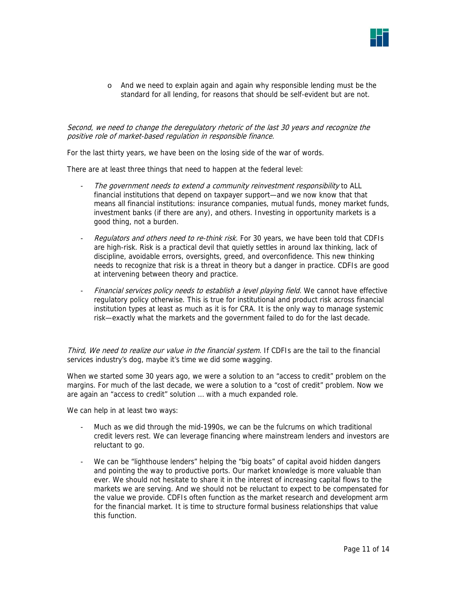

o And we need to explain again and again why responsible lending must be the standard for all lending, for reasons that should be self-evident but are not.

# Second, we need to change the deregulatory rhetoric of the last 30 years and recognize the positive role of market-based regulation in responsible finance.

For the last thirty years, we have been on the losing side of the war of words.

There are at least three things that need to happen at the federal level:

- The government needs to extend a community reinvestment responsibility to ALL financial institutions that depend on taxpayer support—and we now know that that means all financial institutions: insurance companies, mutual funds, money market funds, investment banks (if there are any), and others. Investing in opportunity markets is a good thing, not a burden.
- Regulators and others need to re-think risk. For 30 years, we have been told that CDFIs are high-risk. Risk is a practical devil that quietly settles in around lax thinking, lack of discipline, avoidable errors, oversights, greed, and overconfidence. This new thinking needs to recognize that risk is a threat in theory but a danger in practice. CDFIs are good at intervening between theory and practice.
- Financial services policy needs to establish a level playing field. We cannot have effective regulatory policy otherwise. This is true for institutional and product risk across financial institution types at least as much as it is for CRA. It is the only way to manage systemic risk—exactly what the markets and the government failed to do for the last decade.

Third, We need to realize our value in the financial system. If CDFIs are the tail to the financial services industry's dog, maybe it's time we did some wagging.

When we started some 30 years ago, we were a solution to an "access to credit" problem on the margins. For much of the last decade, we were a solution to a "cost of credit" problem. Now we are again an "access to credit" solution … with a much expanded role.

We can help in at least two ways:

- Much as we did through the mid-1990s, we can be the fulcrums on which traditional credit levers rest. We can leverage financing where mainstream lenders and investors are reluctant to go.
- We can be "lighthouse lenders" helping the "big boats" of capital avoid hidden dangers and pointing the way to productive ports. Our market knowledge is more valuable than ever. We should not hesitate to share it in the interest of increasing capital flows to the markets we are serving. And we should not be reluctant to expect to be compensated for the value we provide. CDFIs often function as the market research and development arm for the financial market. It is time to structure formal business relationships that value this function.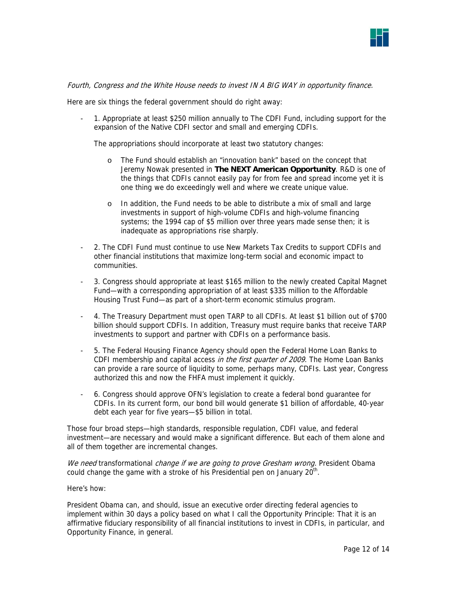

## Fourth, Congress and the White House needs to invest IN A BIG WAY in opportunity finance.

Here are six things the federal government should do right away:

- 1. Appropriate at least \$250 million annually to The CDFI Fund, including support for the expansion of the Native CDFI sector and small and emerging CDFIs.

The appropriations should incorporate at least two statutory changes:

- o The Fund should establish an "innovation bank" based on the concept that Jeremy Nowak presented in **The NEXT American Opportunity**. R&D is one of the things that CDFIs cannot easily pay for from fee and spread income yet it is one thing we do exceedingly well and where we create unique value.
- o In addition, the Fund needs to be able to distribute a mix of small and large investments in support of high-volume CDFIs and high-volume financing systems; the 1994 cap of \$5 million over three years made sense then; it is inadequate as appropriations rise sharply.
- 2. The CDFI Fund must continue to use New Markets Tax Credits to support CDFIs and other financial institutions that maximize long-term social and economic impact to communities.
- 3. Congress should appropriate at least \$165 million to the newly created Capital Magnet Fund—with a corresponding appropriation of at least \$335 million to the Affordable Housing Trust Fund—as part of a short-term economic stimulus program.
- 4. The Treasury Department must open TARP to all CDFIs. At least \$1 billion out of \$700 billion should support CDFIs. In addition, Treasury must require banks that receive TARP investments to support and partner with CDFIs on a performance basis.
- 5. The Federal Housing Finance Agency should open the Federal Home Loan Banks to CDFI membership and capital access in the first quarter of 2009. The Home Loan Banks can provide a rare source of liquidity to some, perhaps many, CDFIs. Last year, Congress authorized this and now the FHFA must implement it quickly.
- 6. Congress should approve OFN's legislation to create a federal bond guarantee for CDFIs. In its current form, our bond bill would generate \$1 billion of affordable, 40-year debt each year for five years—\$5 billion in total.

Those four broad steps—high standards, responsible regulation, CDFI value, and federal investment—are necessary and would make a significant difference. But each of them alone and all of them together are incremental changes.

We need transformational change if we are going to prove Gresham wrong. President Obama could change the game with a stroke of his Presidential pen on January  $20<sup>th</sup>$ .

#### Here's how:

President Obama can, and should, issue an executive order directing federal agencies to implement within 30 days a policy based on what I call the Opportunity Principle: That it is an affirmative fiduciary responsibility of all financial institutions to invest in CDFIs, in particular, and Opportunity Finance, in general.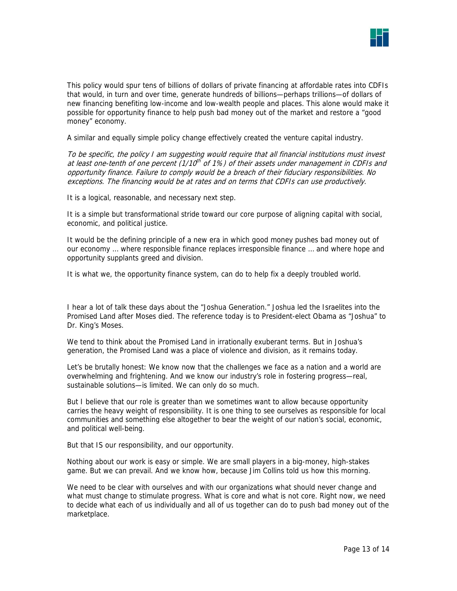

This policy would spur tens of billions of dollars of private financing at affordable rates into CDFIs that would, in turn and over time, generate hundreds of billions—perhaps trillions—of dollars of new financing benefiting low-income and low-wealth people and places. This alone would make it possible for opportunity finance to help push bad money out of the market and restore a "good money" economy.

A similar and equally simple policy change effectively created the venture capital industry.

To be specific, the policy I am suggesting would require that all financial institutions must invest at least one-tenth of one percent ( $1/10<sup>th</sup>$  of 1%) of their assets under management in CDFIs and opportunity finance. Failure to comply would be a breach of their fiduciary responsibilities. No exceptions. The financing would be at rates and on terms that CDFIs can use productively.

It is a logical, reasonable, and necessary next step.

It is a simple but transformational stride toward our core purpose of aligning capital with social, economic, and political justice.

It would be the defining principle of a new era in which good money pushes bad money out of our economy … where responsible finance replaces irresponsible finance … and where hope and opportunity supplants greed and division.

It is what we, the opportunity finance system, can do to help fix a deeply troubled world.

I hear a lot of talk these days about the "Joshua Generation." Joshua led the Israelites into the Promised Land after Moses died. The reference today is to President-elect Obama as "Joshua" to Dr. King's Moses.

We tend to think about the Promised Land in irrationally exuberant terms. But in Joshua's generation, the Promised Land was a place of violence and division, as it remains today.

Let's be brutally honest: We know now that the challenges we face as a nation and a world are overwhelming and frightening. And we know our industry's role in fostering progress—real, sustainable solutions—is limited. We can only do so much.

But I believe that our role is greater than we sometimes want to allow because opportunity carries the heavy weight of responsibility. It is one thing to see ourselves as responsible for local communities and something else altogether to bear the weight of our nation's social, economic, and political well-being.

But that IS our responsibility, and our opportunity.

Nothing about our work is easy or simple. We are small players in a big-money, high-stakes game. But we can prevail. And we know how, because Jim Collins told us how this morning.

We need to be clear with ourselves and with our organizations what should never change and what must change to stimulate progress. What is core and what is not core. Right now, we need to decide what each of us individually and all of us together can do to push bad money out of the marketplace.